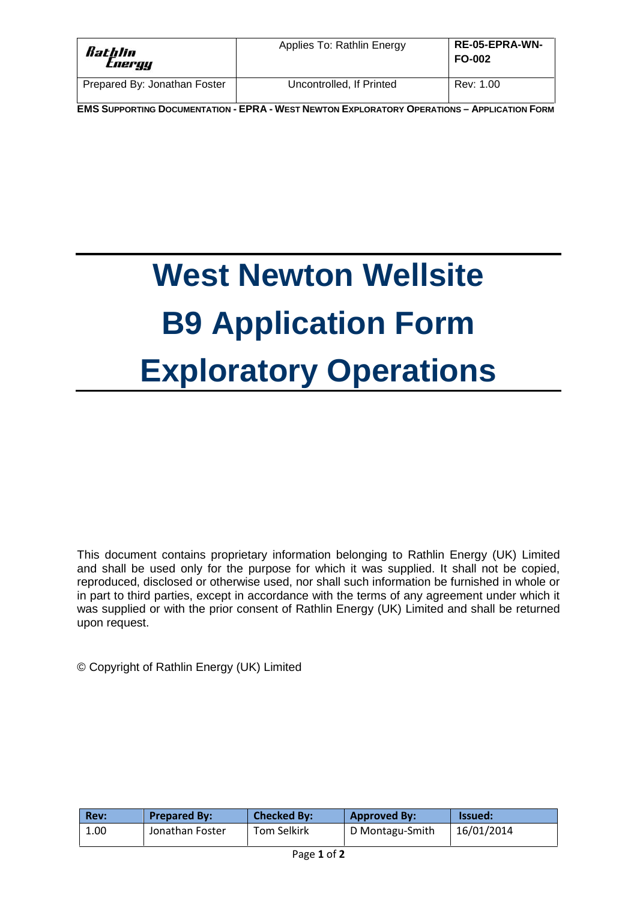| Rathlin<br>tnergy            | Applies To: Rathlin Energy | <b>RE-05-EPRA-WN-</b><br><b>FO-002</b> |
|------------------------------|----------------------------|----------------------------------------|
| Prepared By: Jonathan Foster | Uncontrolled, If Printed   | Rev: 1.00                              |

**EMS SUPPORTING DOCUMENTATION - EPRA - WEST NEWTON EXPLORATORY OPERATIONS - APPLICATION FORM** 

# **West Newton Wellsite B9 Application Form Exploratory Operations**

This document contains proprietary information belonging to Rathlin Energy (UK) Limited and shall be used only for the purpose for which it was supplied. It shall not be copied, reproduced, disclosed or otherwise used, nor shall such information be furnished in whole or in part to third parties, except in accordance with the terms of any agreement under which it was supplied or with the prior consent of Rathlin Energy (UK) Limited and shall be returned upon request.

© Copyright of Rathlin Energy (UK) Limited

| Rev: | <b>Prepared By:</b> | <b>Checked By:</b> | <b>Approved By:</b> | <b>Issued:</b> |
|------|---------------------|--------------------|---------------------|----------------|
| 1.00 | Jonathan Foster     | Tom Selkirk        | D Montagu-Smith     | 16/01/2014     |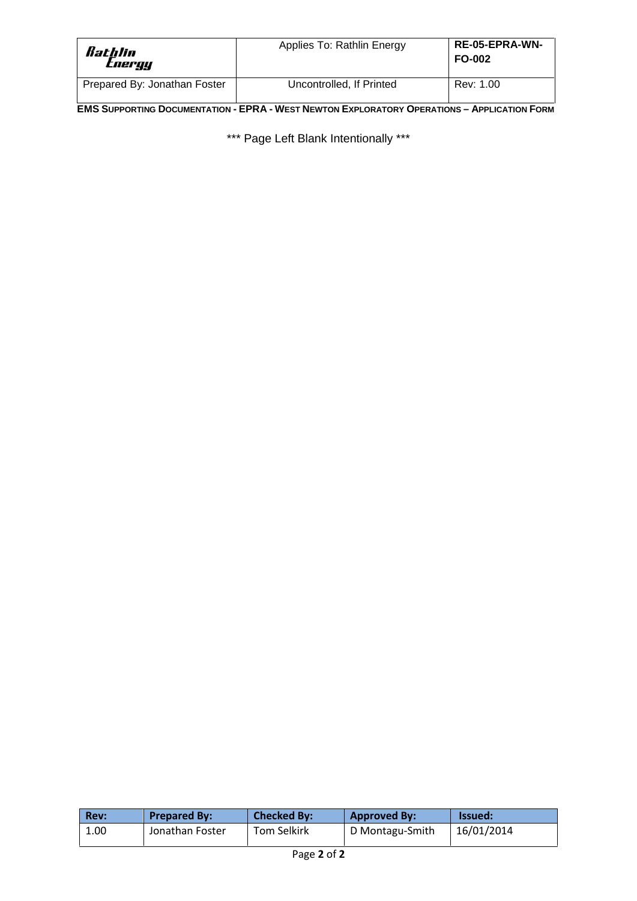| Rathlin<br><i>Energy</i>     | Applies To: Rathlin Energy | <b>RE-05-EPRA-WN-</b><br><b>FO-002</b> |
|------------------------------|----------------------------|----------------------------------------|
| Prepared By: Jonathan Foster | Uncontrolled, If Printed   | Rev: 1.00                              |

**EMS SUPPORTING DOCUMENTATION - EPRA - WEST NEWTON EXPLORATORY OPERATIONS - APPLICATION FORM** 

\*\*\* Page Left Blank Intentionally \*\*\*

| <b>Rev:</b> | <b>Prepared By:</b> | <b>Checked By:</b> | <b>Approved By:</b> | <b>Issued:</b> |
|-------------|---------------------|--------------------|---------------------|----------------|
| 1.00        | Jonathan Foster     | Tom Selkirk        | D Montagu-Smith     | 16/01/2014     |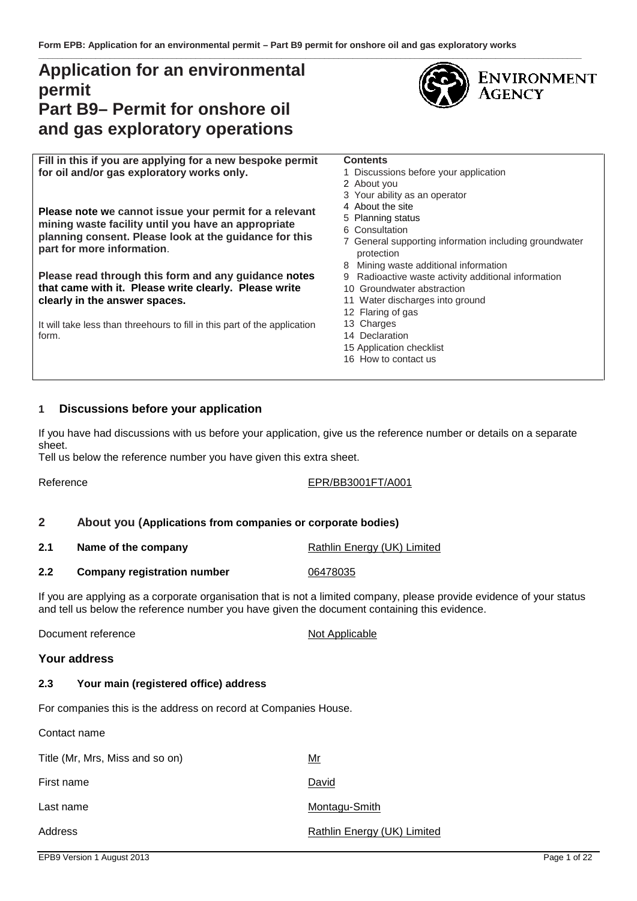### **Application for an environmental permit Part B9– Permit for onshore oil and gas exploratory operations**



**Fill in this if you are applying for a new bespoke permit for oil and/or gas exploratory works only.**

**Please note we cannot issue your permit for a relevant mining waste facility until you have an appropriate planning consent. Please look at the guidance for this part for more information**.

**Please read through this form and any guidance notes that came with it. Please write clearly. Please write clearly in the answer spaces.**

It will take less than threehours to fill in this part of the application form.

#### **Contents**

- 1 Discussions before your application
- 2 About you
- 3 Your ability as an operator
- 4 About the site
- 5 Planning status
- 6 Consultation
- 7 General supporting information including groundwater protection
- 8 Mining waste additional information
- 9 Radioactive waste activity additional information
- 10 Groundwater abstraction
- 11 Water discharges into ground
- 12 Flaring of gas
- 13 Charges
- 14 Declaration
- 15 Application checklist
- 16 How to contact us

#### **1 Discussions before your application**

If you have had discussions with us before your application, give us the reference number or details on a separate sheet.

Tell us below the reference number you have given this extra sheet.

Reference EPR/BB3001FT/A001

#### **2 About you (Applications from companies or corporate bodies)**

- **2.1 Name of the company <b>Rathlin Energy (UK)** Limited
- **2.2 Company registration number** 06478035

If you are applying as a corporate organisation that is not a limited company, please provide evidence of your status and tell us below the reference number you have given the document containing this evidence.

Document reference Not Applicable

#### **Your address**

#### **2.3 Your main (registered office) address**

For companies this is the address on record at Companies House.

Contact name Title (Mr. Mrs, Miss and so on) Mr First name **David** 

Last name Montagu-Smith

Address Rathlin Energy (UK) Limited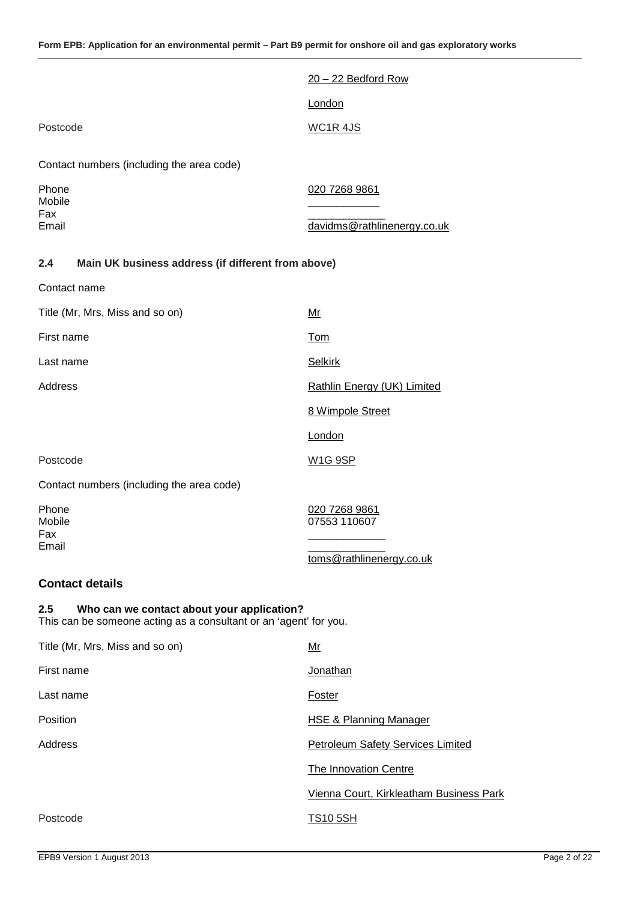**\_\_\_\_\_\_\_\_\_\_\_\_\_\_\_\_\_\_\_\_\_\_\_\_\_\_\_\_\_\_\_\_\_\_\_\_\_\_\_\_\_\_\_\_\_\_\_\_\_\_\_\_\_\_\_\_\_\_\_\_\_\_\_\_\_\_\_\_\_\_\_\_\_\_\_\_\_\_\_\_\_\_\_\_\_\_\_\_\_\_\_\_\_\_\_\_\_\_\_\_\_\_\_\_\_\_\_\_\_\_\_\_\_\_**

|                                                                                                                        | $20 - 22$ Bedford Row                    |
|------------------------------------------------------------------------------------------------------------------------|------------------------------------------|
|                                                                                                                        | London                                   |
| Postcode                                                                                                               | <b>WC1R4JS</b>                           |
| Contact numbers (including the area code)                                                                              |                                          |
| Phone<br>Mobile                                                                                                        | 020 7268 9861                            |
| Fax<br>Email                                                                                                           | davidms@rathlinenergy.co.uk              |
| Main UK business address (if different from above)<br>2.4                                                              |                                          |
| Contact name                                                                                                           |                                          |
| Title (Mr, Mrs, Miss and so on)                                                                                        | <u>Mr</u>                                |
| First name                                                                                                             | <b>Tom</b>                               |
| Last name                                                                                                              | <b>Selkirk</b>                           |
| Address                                                                                                                | Rathlin Energy (UK) Limited              |
|                                                                                                                        | 8 Wimpole Street                         |
|                                                                                                                        | London                                   |
| Postcode                                                                                                               | <b>W1G 9SP</b>                           |
| Contact numbers (including the area code)                                                                              |                                          |
| Phone<br>Mobile                                                                                                        | 020 7268 9861<br>07553 110607            |
| Fax<br>Email                                                                                                           |                                          |
|                                                                                                                        | toms@rathlinenergy.co.uk                 |
| <b>Contact details</b>                                                                                                 |                                          |
| 2.5<br>Who can we contact about your application?<br>This can be someone acting as a consultant or an 'agent' for you. |                                          |
| Title (Mr, Mrs, Miss and so on)                                                                                        | $Mr$                                     |
| First name                                                                                                             | Jonathan                                 |
| Last name                                                                                                              | Foster                                   |
| Position                                                                                                               | <b>HSE &amp; Planning Manager</b>        |
| Address                                                                                                                | <b>Petroleum Safety Services Limited</b> |
|                                                                                                                        | <b>The Innovation Centre</b>             |
|                                                                                                                        | Vienna Court, Kirkleatham Business Park  |
| Postcode                                                                                                               | <b>TS10 5SH</b>                          |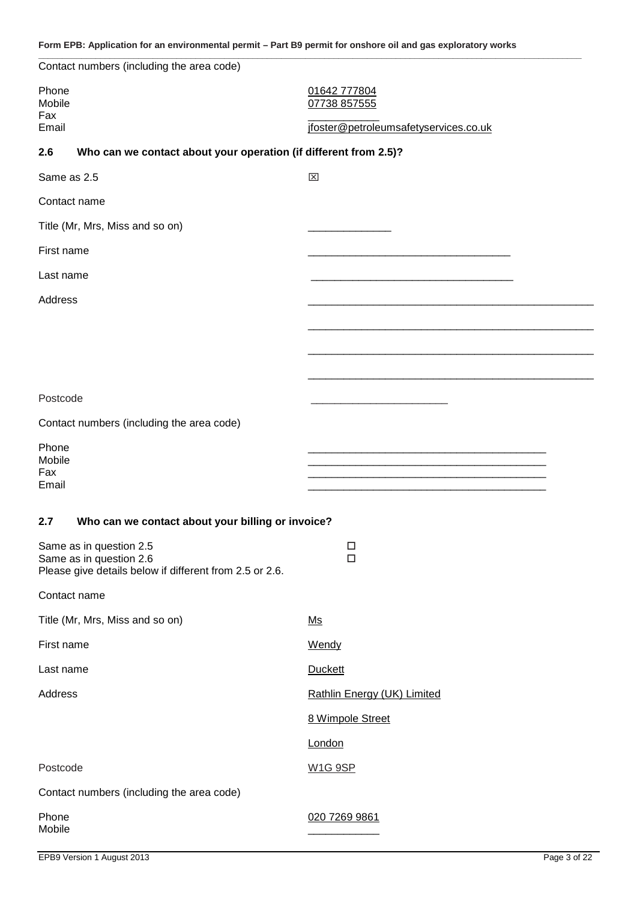| Contact numbers (including the area code)                                          |                                       |
|------------------------------------------------------------------------------------|---------------------------------------|
| Phone<br>Mobile                                                                    | 01642 777804<br>07738 857555          |
| Fax<br>Email                                                                       | jfoster@petroleumsafetyservices.co.uk |
| Who can we contact about your operation (if different from 2.5)?<br>2.6            |                                       |
| Same as 2.5                                                                        | $\mathsf{x}$                          |
| Contact name                                                                       |                                       |
| Title (Mr, Mrs, Miss and so on)                                                    |                                       |
| First name                                                                         |                                       |
| Last name                                                                          |                                       |
| Address                                                                            |                                       |
|                                                                                    |                                       |
|                                                                                    |                                       |
|                                                                                    |                                       |
| Postcode                                                                           |                                       |
| Contact numbers (including the area code)                                          |                                       |
| Phone                                                                              |                                       |
| Mobile<br>Fax                                                                      |                                       |
| Email                                                                              |                                       |
| Who can we contact about your billing or invoice?<br>2.7                           |                                       |
| Same as in question 2.5                                                            | $\Box$                                |
| Same as in question 2.6<br>Please give details below if different from 2.5 or 2.6. | $\Box$                                |
| Contact name                                                                       |                                       |
| Title (Mr, Mrs, Miss and so on)                                                    | Ms                                    |
| First name                                                                         | Wendy                                 |
| Last name                                                                          | <b>Duckett</b>                        |
| Address                                                                            | Rathlin Energy (UK) Limited           |
|                                                                                    | 8 Wimpole Street                      |
|                                                                                    | London                                |
| Postcode                                                                           | <b>W1G 9SP</b>                        |
| Contact numbers (including the area code)                                          |                                       |
| Phone                                                                              | 020 7269 9861                         |
| Mobile                                                                             |                                       |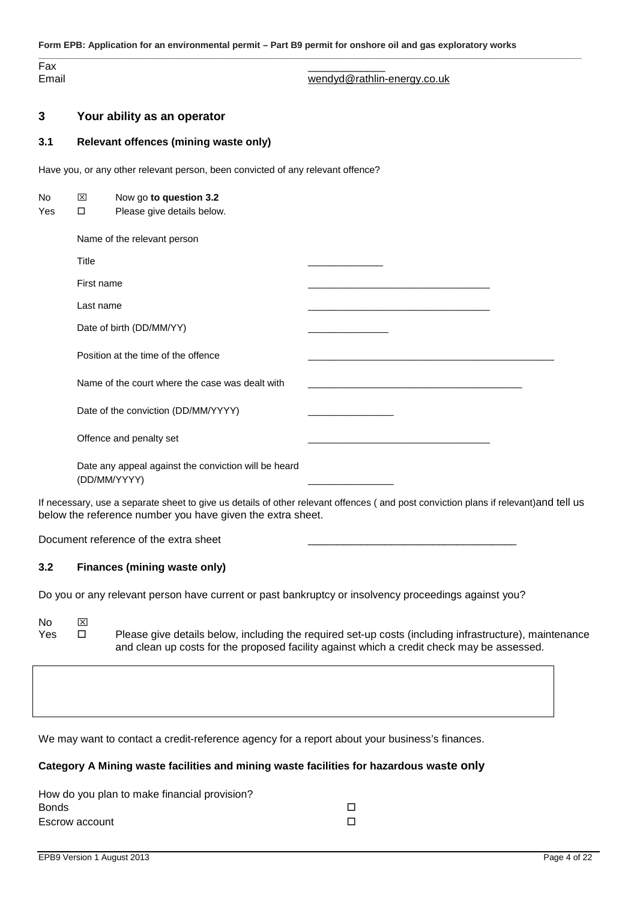**\_\_\_\_\_\_\_\_\_\_\_\_\_\_\_\_\_\_\_\_\_\_\_\_\_\_\_\_\_\_\_\_\_\_\_\_\_\_\_\_\_\_\_\_\_\_\_\_\_\_\_\_\_\_\_\_\_\_\_\_\_\_\_\_\_\_\_\_\_\_\_\_\_\_\_\_\_\_\_\_\_\_\_\_\_\_\_\_\_\_\_\_\_\_\_\_\_\_\_\_\_\_\_\_\_\_\_\_\_\_\_\_\_\_** Fax \_\_\_\_\_\_\_\_\_\_\_\_\_ Email wendyd@rathlin-energy.co.uk

#### **3 Your ability as an operator**

#### **3.1 Relevant offences (mining waste only)**

Have you, or any other relevant person, been convicted of any relevant offence?

| No  | 区            | Now go to question 3.2                                               |                                                                                                                                      |
|-----|--------------|----------------------------------------------------------------------|--------------------------------------------------------------------------------------------------------------------------------------|
| Yes | □            | Please give details below.                                           |                                                                                                                                      |
|     |              | Name of the relevant person                                          |                                                                                                                                      |
|     | <b>Title</b> |                                                                      |                                                                                                                                      |
|     | First name   |                                                                      |                                                                                                                                      |
|     | Last name    |                                                                      |                                                                                                                                      |
|     |              | Date of birth (DD/MM/YY)                                             |                                                                                                                                      |
|     |              | Position at the time of the offence                                  |                                                                                                                                      |
|     |              | Name of the court where the case was dealt with                      |                                                                                                                                      |
|     |              | Date of the conviction (DD/MM/YYYY)                                  |                                                                                                                                      |
|     |              | Offence and penalty set                                              |                                                                                                                                      |
|     |              | Date any appeal against the conviction will be heard<br>(DD/MM/YYYY) |                                                                                                                                      |
|     |              | below the reference number you have given the extra sheet.           | If necessary, use a separate sheet to give us details of other relevant offences (and post conviction plans if relevant) and tell us |

Document reference of the extra sheet

#### **3.2 Finances (mining waste only)**

Do you or any relevant person have current or past bankruptcy or insolvency proceedings against you?

No **X** Yes  $\square$  Please give details below, including the required set-up costs (including infrastructure), maintenance and clean up costs for the proposed facility against which a credit check may be assessed.

We may want to contact a credit-reference agency for a report about your business's finances.

#### **Category A Mining waste facilities and mining waste facilities for hazardous waste only**

| How do you plan to make financial provision? |  |
|----------------------------------------------|--|
| Bonds                                        |  |
| Escrow account                               |  |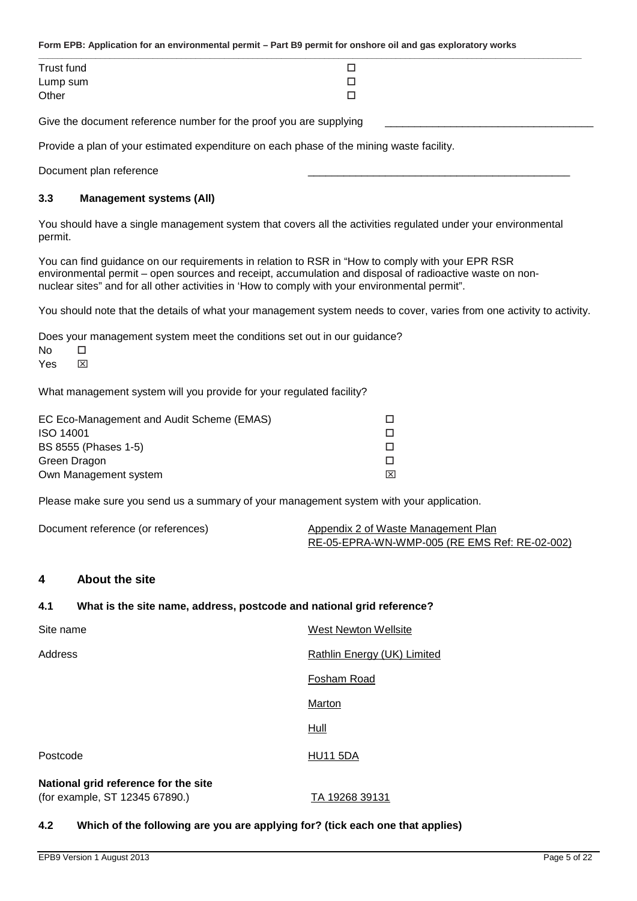| Trust fund        | ┍<br>ىسا |  |
|-------------------|----------|--|
|                   | -<br>؎   |  |
| Lump sum<br>Other | −<br>ᆜ   |  |
|                   |          |  |

Give the document reference number for the proof you are supplying

Provide a plan of your estimated expenditure on each phase of the mining waste facility.

Document plan reference

#### **3.3 Management systems (All)**

You should have a single management system that covers all the activities regulated under your environmental permit.

You can find guidance on our requirements in relation to RSR in "How to comply with your EPR RSR environmental permit – open sources and receipt, accumulation and disposal of radioactive waste on non nuclear sites" and for all other activities in 'How to comply with your environmental permit".

You should note that the details of what your management system needs to cover, varies from one activity to activity.

Does your management system meet the conditions set out in our guidance?

| <b>No</b> | п |
|-----------|---|
| Yes       | ⊠ |

What management system will you provide for your regulated facility?

| EC Eco-Management and Audit Scheme (EMAS) |     |
|-------------------------------------------|-----|
| <b>ISO 14001</b>                          |     |
| BS 8555 (Phases 1-5)                      |     |
| Green Dragon                              |     |
| Own Management system                     | l×l |

Please make sure you send us a summary of your management system with your application.

Document reference (or references) Appendix 2 of Waste Management Plan RE-05-EPRA-WN-WMP-005 (RE EMS Ref: RE-02-002)

#### **4 About the site**

#### **4.1 What is the site name, address, postcode and national grid reference?**

| Site name                                                              | West Newton Wellsite        |
|------------------------------------------------------------------------|-----------------------------|
| Address                                                                | Rathlin Energy (UK) Limited |
|                                                                        | Fosham Road                 |
|                                                                        | Marton                      |
|                                                                        | Hull                        |
| Postcode                                                               | <b>HU11 5DA</b>             |
| National grid reference for the site<br>(for example, ST 12345 67890.) | TA 19268 39131              |

#### **4.2 Which of the following are you are applying for? (tick each one that applies)**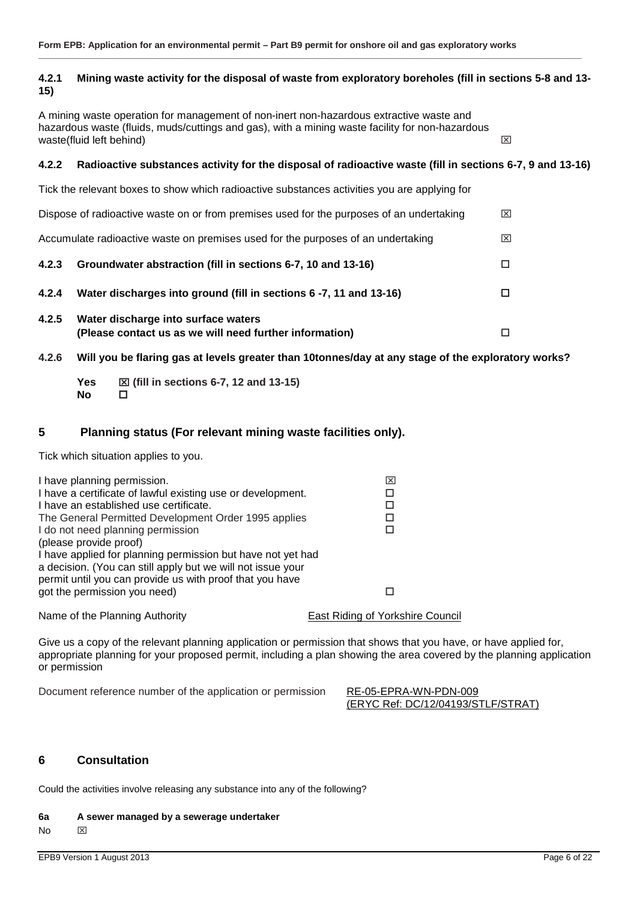#### **4.2.1 Mining waste activity for the disposal of waste from exploratory boreholes (fill in sections 5-8 and 13- 15)**

**\_\_\_\_\_\_\_\_\_\_\_\_\_\_\_\_\_\_\_\_\_\_\_\_\_\_\_\_\_\_\_\_\_\_\_\_\_\_\_\_\_\_\_\_\_\_\_\_\_\_\_\_\_\_\_\_\_\_\_\_\_\_\_\_\_\_\_\_\_\_\_\_\_\_\_\_\_\_\_\_\_\_\_\_\_\_\_\_\_\_\_\_\_\_\_\_\_\_\_\_\_\_\_\_\_\_\_\_\_\_\_\_\_\_**

A mining waste operation for management of non-inert non-hazardous extractive waste and hazardous waste (fluids, muds/cuttings and gas), with a mining waste facility for non-hazardous<br>waste (fluid left behind) waste(fluid left behind)

#### **4.2.2 Radioactive substances activity for the disposal of radioactive waste (fill in sections 6-7, 9 and 13-16)**

Tick the relevant boxes to show which radioactive substances activities you are applying for Dispose of radioactive waste on or from premises used for the purposes of an undertaking  $\boxtimes$ Accumulate radioactive waste on premises used for the purposes of an undertaking  $\boxtimes$ **4.2.3 Groundwater abstraction (fill in sections 6-7, 10 and 13-16) 4.2.4 Water discharges into ground (fill in sections 6 -7, 11 and 13-16) 4.2.5 Water discharge into surface waters (Please contact us as we will need further information)**

**4.2.6 Will you be flaring gas at levels greater than 10tonnes/day at any stage of the exploratory works?**

**Yes (fill in sections 6-7, 12 and 13-15) No**

#### **5 Planning status (For relevant mining waste facilities only).**

Tick which situation applies to you.

| I have planning permission.                                 | ⊠                                |
|-------------------------------------------------------------|----------------------------------|
| I have a certificate of lawful existing use or development. |                                  |
| I have an established use certificate.                      |                                  |
| The General Permitted Development Order 1995 applies        |                                  |
| I do not need planning permission                           |                                  |
| (please provide proof)                                      |                                  |
| I have applied for planning permission but have not yet had |                                  |
| a decision. (You can still apply but we will not issue your |                                  |
| permit until you can provide us with proof that you have    |                                  |
| got the permission you need)                                |                                  |
| Name of the Planning Authority                              | East Riding of Yorkshire Council |

Give us a copy of the relevant planning application or permission that shows that you have, or have applied for, appropriate planning for your proposed permit, including a plan showing the area covered by the planning application or permission

Document reference number of the application or permission RE-05-EPRA-WN-PDN-009

(ERYC Ref: DC/12/04193/STLF/STRAT)

#### **6 Consultation**

Could the activities involve releasing any substance into any of the following?

#### **6a A sewer managed by a sewerage undertaker**

No **x**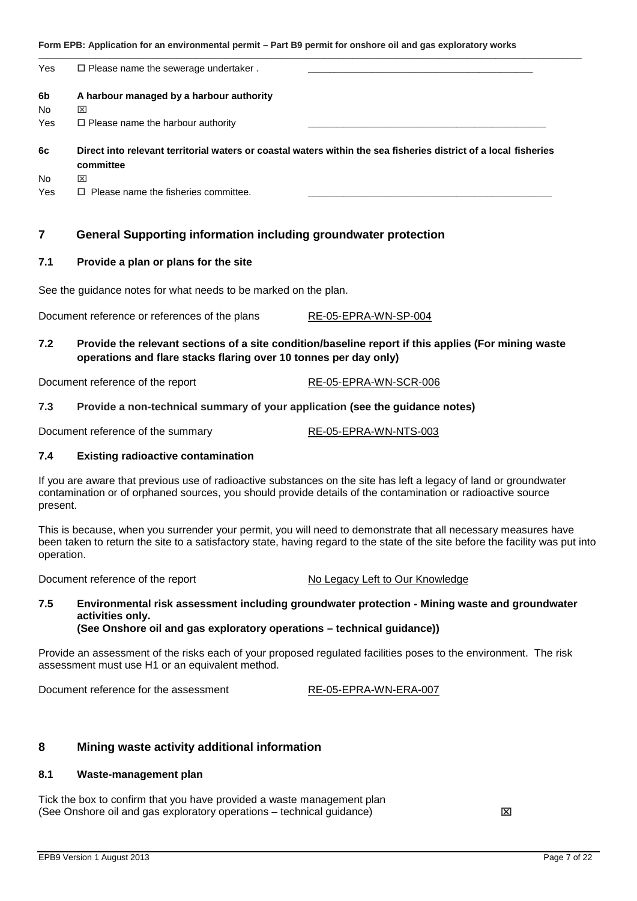| Yes       | $\Box$ Please name the sewerage undertaker.                                                                                   |
|-----------|-------------------------------------------------------------------------------------------------------------------------------|
| 6b        | A harbour managed by a harbour authority                                                                                      |
| <b>No</b> | ⊠                                                                                                                             |
| Yes       | $\Box$ Please name the harbour authority                                                                                      |
| 6c        | Direct into relevant territorial waters or coastal waters within the sea fisheries district of a local fisheries<br>committee |
| <b>No</b> | 図                                                                                                                             |
| Yes       | $\Box$ Please name the fisheries committee.                                                                                   |

#### **7 General Supporting information including groundwater protection**

#### **7.1 Provide a plan or plans for the site**

See the guidance notes for what needs to be marked on the plan.

Document reference or references of the plans RE-05-EPRA-WN-SP-004

#### **7.2 Provide the relevant sections of a site condition/baseline report if this applies (For mining waste operations and flare stacks flaring over 10 tonnes per day only)**

Document reference of the report RE-05-EPRA-WN-SCR-006

#### **7.3 Provide a non-technical summary of your application (see the guidance notes)**

Document reference of the summary RE-05-EPRA-WN-NTS-003

#### **7.4 Existing radioactive contamination**

If you are aware that previous use of radioactive substances on the site has left a legacy of land or groundwater contamination or of orphaned sources, you should provide details of the contamination or radioactive source present.

This is because, when you surrender your permit, you will need to demonstrate that all necessary measures have been taken to return the site to a satisfactory state, having regard to the state of the site before the facility was put into operation.

Document reference of the report No Legacy Left to Our Knowledge

#### **7.5 Environmental risk assessment including groundwater protection - Mining waste and groundwater activities only. (See Onshore oil and gas exploratory operations – technical guidance))**

Provide an assessment of the risks each of your proposed regulated facilities poses to the environment. The risk assessment must use H1 or an equivalent method.

Document reference for the assessment The RE-05-EPRA-WN-ERA-007

#### **8 Mining waste activity additional information**

#### **8.1 Waste-management plan**

Tick the box to confirm that you have provided a waste management plan (See Onshore oil and gas exploratory operations – technical guidance)  $\boxtimes$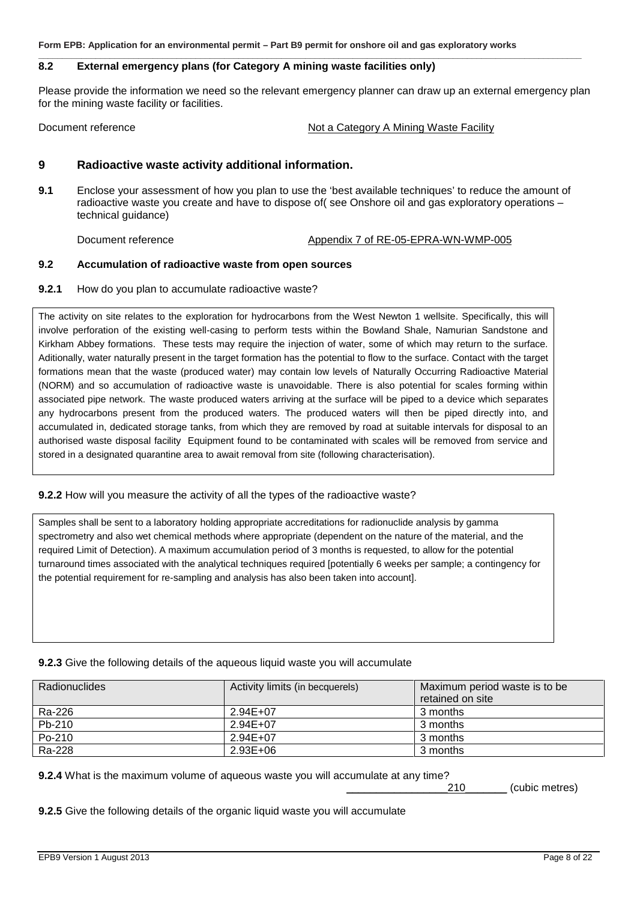#### **8.2 External emergency plans (for Category A mining waste facilities only)**

Please provide the information we need so the relevant emergency planner can draw up an external emergency plan for the mining waste facility or facilities.

**\_\_\_\_\_\_\_\_\_\_\_\_\_\_\_\_\_\_\_\_\_\_\_\_\_\_\_\_\_\_\_\_\_\_\_\_\_\_\_\_\_\_\_\_\_\_\_\_\_\_\_\_\_\_\_\_\_\_\_\_\_\_\_\_\_\_\_\_\_\_\_\_\_\_\_\_\_\_\_\_\_\_\_\_\_\_\_\_\_\_\_\_\_\_\_\_\_\_\_\_\_\_\_\_\_\_\_\_\_\_\_\_\_\_**

#### Document reference **Not a Category A Mining Waste Facility**

#### **9 Radioactive waste activity additional information.**

**9.1** Enclose your assessment of how you plan to use the 'best available techniques' to reduce the amount of radioactive waste you create and have to dispose of( see Onshore oil and gas exploratory operations – technical guidance)

Document reference Appendix 7 of RE-05-EPRA-WN-WMP-005

#### **9.2 Accumulation of radioactive waste from open sources**

**9.2.1** How do you plan to accumulate radioactive waste?

The activity on site relates to the exploration for hydrocarbons from the West Newton 1 wellsite. Specifically, this will involve perforation of the existing well-casing to perform tests within the Bowland Shale, Namurian Sandstone and Kirkham Abbey formations. These tests may require the injection of water, some of which may return to the surface. Aditionally, water naturally present in the target formation has the potential to flow to the surface. Contact with the target formations mean that the waste (produced water) may contain low levels of Naturally Occurring Radioactive Material (NORM) and so accumulation of radioactive waste is unavoidable. There is also potential for scales forming within associated pipe network. The waste produced waters arriving at the surface will be piped to a device which separates any hydrocarbons present from the produced waters. The produced waters will then be piped directly into, and accumulated in, dedicated storage tanks, from which they are removed by road at suitable intervals for disposal to an authorised waste disposal facility Equipment found to be contaminated with scales will be removed from service and stored in a designated quarantine area to await removal from site (following characterisation).

#### **9.2.2** How will you measure the activity of all the types of the radioactive waste?

Samples shall be sent to a laboratory holding appropriate accreditations for radionuclide analysis by gamma spectrometry and also wet chemical methods where appropriate (dependent on the nature of the material, and the required Limit of Detection). A maximum accumulation period of 3 months is requested, to allow for the potential turnaround times associated with the analytical techniques required [potentially 6 weeks per sample; a contingency for the potential requirement for re-sampling and analysis has also been taken into account].

#### **9.2.3** Give the following details of the aqueous liquid waste you will accumulate

| Radionuclides | Activity limits (in becquerels) | Maximum period waste is to be |
|---------------|---------------------------------|-------------------------------|
|               |                                 | retained on site              |
| Ra-226        | $2.94E+07$                      | 3 months                      |
| Pb-210        | 2.94E+07                        | 3 months                      |
| Po-210        | $2.94E + 07$                    | 3 months                      |
| Ra-228        | $2.93E + 06$                    | 3 months                      |

**9.2.4** What is the maximum volume of aqueous waste you will accumulate at any time?

\_\_\_\_\_\_\_\_\_\_\_\_\_\_\_\_\_210\_\_\_\_\_\_\_ (cubic metres)

**9.2.5** Give the following details of the organic liquid waste you will accumulate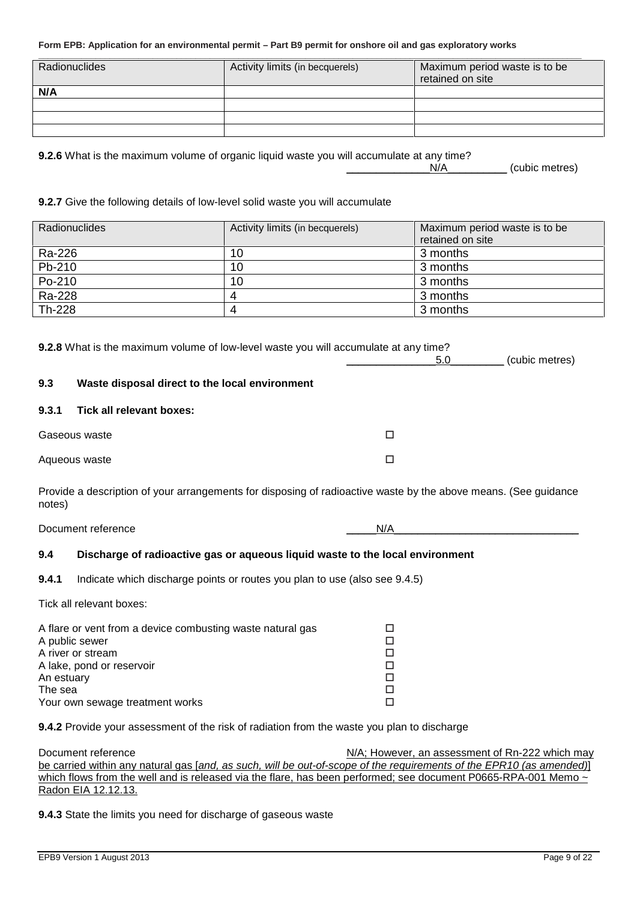| Radionuclides | Activity limits (in becquerels) | Maximum period waste is to be<br>retained on site |
|---------------|---------------------------------|---------------------------------------------------|
| N/A           |                                 |                                                   |
|               |                                 |                                                   |
|               |                                 |                                                   |
|               |                                 |                                                   |

\_\_\_\_\_\_\_\_\_\_\_\_\_\_N/A\_\_\_\_\_\_\_\_\_\_ (cubic metres)

**9.2.6** What is the maximum volume of organic liquid waste you will accumulate at any time?

#### **9.2.7** Give the following details of low-level solid waste you will accumulate

| <b>Radionuclides</b> | Activity limits (in becquerels) | Maximum period waste is to be<br>retained on site |
|----------------------|---------------------------------|---------------------------------------------------|
| Ra-226               | 10                              | 3 months                                          |
| Pb-210               | 10                              | 3 months                                          |
| Po-210               | 10                              | 3 months                                          |
| Ra-228               |                                 | 3 months                                          |
| Th-228               |                                 | 3 months                                          |

|        | <b>9.2.8</b> What is the maximum volume of low-level waste you will accumulate at any time?                     |     |                |
|--------|-----------------------------------------------------------------------------------------------------------------|-----|----------------|
|        |                                                                                                                 | 5.0 | (cubic metres) |
| 9.3    | Waste disposal direct to the local environment                                                                  |     |                |
| 9.3.1  | Tick all relevant boxes:                                                                                        |     |                |
|        | Gaseous waste                                                                                                   | □   |                |
|        | Aqueous waste                                                                                                   | □   |                |
| notes) | Provide a description of your arrangements for disposing of radioactive waste by the above means. (See guidance |     |                |
|        | Document reference                                                                                              | N/A |                |
| 9.4    | Discharge of radioactive gas or aqueous liquid waste to the local environment                                   |     |                |

## **9.4.1** Indicate which discharge points or routes you plan to use (also see 9.4.5)

Tick all relevant boxes:

| A flare or vent from a device combusting waste natural gas |  |
|------------------------------------------------------------|--|
| A public sewer                                             |  |
| A river or stream                                          |  |
| A lake, pond or reservoir                                  |  |
| An estuary                                                 |  |
| The sea                                                    |  |
| Your own sewage treatment works                            |  |

**9.4.2** Provide your assessment of the risk of radiation from the waste you plan to discharge

Document reference **N/A; However, an assessment of Rn-222 which may** N/A; However, an assessment of Rn-222 which may be carried within any natural gas [*and, as such, will be out-of-scope of the requirements of the EPR10 (as amended)*] which flows from the well and is released via the flare, has been performed; see document P0665-RPA-001 Memo ~ Radon EIA 12.12.13.

**9.4.3** State the limits you need for discharge of gaseous waste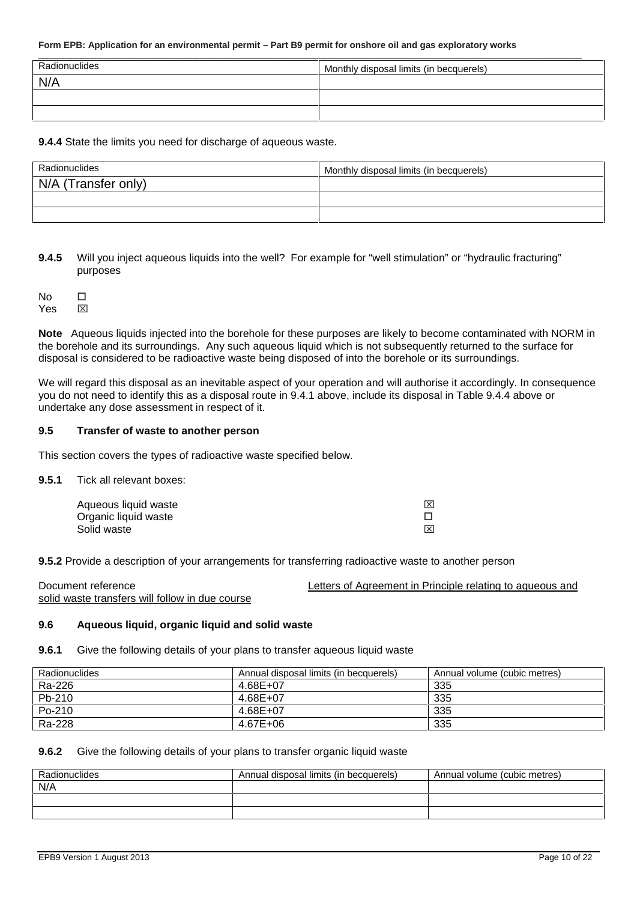| Radionuclides | Monthly disposal limits (in becquerels) |
|---------------|-----------------------------------------|
| N/A           |                                         |
|               |                                         |
|               |                                         |

**9.4.4** State the limits you need for discharge of aqueous waste.

| Radionuclides       | Monthly disposal limits (in becquerels) |
|---------------------|-----------------------------------------|
| N/A (Transfer only) |                                         |
|                     |                                         |
|                     |                                         |

**9.4.5** Will you inject aqueous liquids into the well? For example for "well stimulation" or "hydraulic fracturing" purposes

No  $\Box$ Yes **X** 

**Note** Aqueous liquids injected into the borehole for these purposes are likely to become contaminated with NORM in the borehole and its surroundings. Any such aqueous liquid which is not subsequently returned to the surface for disposal is considered to be radioactive waste being disposed of into the borehole or its surroundings.

We will regard this disposal as an inevitable aspect of your operation and will authorise it accordingly. In consequence you do not need to identify this as a disposal route in 9.4.1 above, include its disposal in Table 9.4.4 above or undertake any dose assessment in respect of it.

#### **9.5 Transfer of waste to another person**

This section covers the types of radioactive waste specified below.

#### **9.5.1** Tick all relevant boxes:

| Aqueous liquid waste | $\overline{\mathbf{x}}$ |
|----------------------|-------------------------|
| Organic liquid waste |                         |
| Solid waste          | $\overline{\mathbf{x}}$ |

**9.5.2** Provide a description of your arrangements for transferring radioactive waste to another person

Document reference **Letters of Agreement in Principle relating to aqueous and** solid waste transfers will follow in due course

#### **9.6 Aqueous liquid, organic liquid and solid waste**

#### **9.6.1** Give the following details of your plans to transfer aqueous liquid waste

| Radionuclides | Annual disposal limits (in becquerels) | Annual volume (cubic metres) |
|---------------|----------------------------------------|------------------------------|
| Ra-226        | 4.68E+07                               | 335                          |
| Pb-210        | 4.68E+07                               | 335                          |
| $Po-210$      | 4.68E+07                               | 335                          |
| Ra-228        | 4.67E+06                               | 335                          |

#### **9.6.2** Give the following details of your plans to transfer organic liquid waste

| Radionuclides | Annual disposal limits (in becquerels) | Annual volume (cubic metres) |
|---------------|----------------------------------------|------------------------------|
| N/A           |                                        |                              |
|               |                                        |                              |
|               |                                        |                              |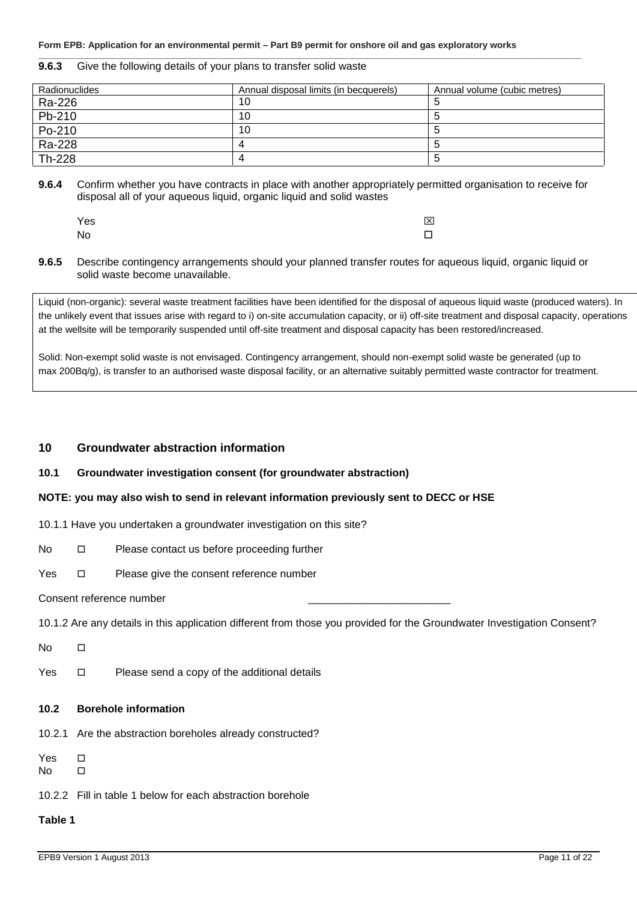| Radionuclides | Annual disposal limits (in becquerels) | Annual volume (cubic metres) |
|---------------|----------------------------------------|------------------------------|
| Ra-226        | 10                                     |                              |
| Pb-210        | 10                                     |                              |
| Po-210        | 10                                     |                              |

 $Ra-228$   $4$  5 Th-228  $\vert$  4  $\vert$  5

#### **9.6.3** Give the following details of your plans to transfer solid waste

**9.6.4** Confirm whether you have contracts in place with another appropriately permitted organisation to receive for disposal all of your aqueous liquid, organic liquid and solid wastes

**\_\_\_\_\_\_\_\_\_\_\_\_\_\_\_\_\_\_\_\_\_\_\_\_\_\_\_\_\_\_\_\_\_\_\_\_\_\_\_\_\_\_\_\_\_\_\_\_\_\_\_\_\_\_\_\_\_\_\_\_\_\_\_\_\_\_\_\_\_\_\_\_\_\_\_\_\_\_\_\_\_\_\_\_\_\_\_\_\_\_\_\_\_\_\_\_\_\_\_\_\_\_\_\_\_\_\_\_\_\_\_\_\_\_**

| Yes | $\overline{\mathsf{x}}$ |
|-----|-------------------------|
| No  | П                       |

**9.6.5** Describe contingency arrangements should your planned transfer routes for aqueous liquid, organic liquid or solid waste become unavailable.

Liquid (non-organic): several waste treatment facilities have been identified for the disposal of aqueous liquid waste (produced waters). In the unlikely event that issues arise with regard to i) on-site accumulation capacity, or ii) off-site treatment and disposal capacity, operations at the wellsite will be temporarily suspended until off-site treatment and disposal capacity has been restored/increased.

Solid: Non-exempt solid waste is not envisaged. Contingency arrangement, should non-exempt solid waste be generated (up to max 200Bq/g), is transfer to an authorised waste disposal facility, or an alternative suitably permitted waste contractor for treatment.

#### **10 Groundwater abstraction information**

#### **10.1 Groundwater investigation consent (for groundwater abstraction)**

#### **NOTE: you may also wish to send in relevant information previously sent to DECC or HSE**

10.1.1 Have you undertaken a groundwater investigation on this site?

No  $\Box$  Please contact us before proceeding further

Yes  $\Box$  Please give the consent reference number

Consent reference number

10.1.2 Are any details in this application different from those you provided for the Groundwater Investigation Consent?

No distribution and the set of the set of the set of the set of the set of the set of the set of the set of the set of the set of the set of the set of the set of the set of the set of the set of the set of the set of the

Yes  $\Box$  Please send a copy of the additional details

#### **10.2 Borehole information**

10.2.1 Are the abstraction boreholes already constructed?

 $Y$ es  $\Pi$ No distribution and the set of the set of the set of the set of the set of the set of the set of the set of the set of the set of the set of the set of the set of the set of the set of the set of the set of the set of the

10.2.2 Fill in table 1 below for each abstraction borehole

#### **Table 1**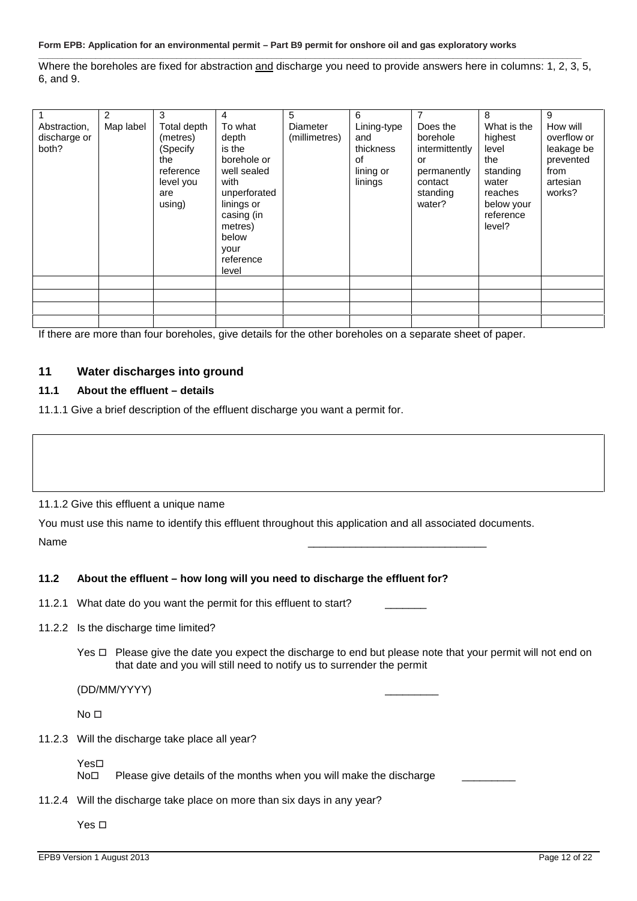**\_\_\_\_\_\_\_\_\_\_\_\_\_\_\_\_\_\_\_\_\_\_\_\_\_\_\_\_\_\_\_\_\_\_\_\_\_\_\_\_\_\_\_\_\_\_\_\_\_\_\_\_\_\_\_\_\_\_\_\_\_\_\_\_\_\_\_\_\_\_\_\_\_\_\_\_\_\_\_\_\_\_\_\_\_\_\_\_\_\_\_\_\_\_\_\_\_\_\_\_\_\_\_\_\_\_\_\_\_\_\_\_\_\_** Where the boreholes are fixed for abstraction and discharge you need to provide answers here in columns: 1, 2, 3, 5, 6, and 9.

| Abstraction,<br>discharge or<br>both? | $\overline{2}$<br>Map label | 3<br>Total depth<br>(metres)<br>(Specify<br>the<br>reference<br>level you<br>are<br>using) | 4<br>To what<br>depth<br>is the<br>borehole or<br>well sealed<br>with<br>unperforated<br>linings or<br>casing (in<br>metres)<br>below<br>your<br>reference<br>level | 5<br>Diameter<br>(millimetres) | 6<br>Lining-type<br>and<br>thickness<br>of<br>lining or<br>linings | 7<br>Does the<br>borehole<br>intermittently<br>or<br>permanently<br>contact<br>standing<br>water? | 8<br>What is the<br>highest<br>level<br>the<br>standing<br>water<br>reaches<br>below your<br>reference<br>level? | 9<br>How will<br>overflow or<br>leakage be<br>prevented<br>from<br>artesian<br>works? |
|---------------------------------------|-----------------------------|--------------------------------------------------------------------------------------------|---------------------------------------------------------------------------------------------------------------------------------------------------------------------|--------------------------------|--------------------------------------------------------------------|---------------------------------------------------------------------------------------------------|------------------------------------------------------------------------------------------------------------------|---------------------------------------------------------------------------------------|
|                                       |                             |                                                                                            |                                                                                                                                                                     |                                |                                                                    |                                                                                                   |                                                                                                                  |                                                                                       |
|                                       |                             |                                                                                            |                                                                                                                                                                     |                                |                                                                    |                                                                                                   |                                                                                                                  |                                                                                       |

If there are more than four boreholes, give details for the other boreholes on a separate sheet of paper.

#### **11 Water discharges into ground**

#### **11.1 About the effluent – details**

11.1.1 Give a brief description of the effluent discharge you want a permit for.

#### 11.1.2 Give this effluent a unique name

You must use this name to identify this effluent throughout this application and all associated documents. Name \_\_\_\_\_\_\_\_\_\_\_\_\_\_\_\_\_\_\_\_\_\_\_\_\_\_\_\_\_\_

#### **11.2 About the effluent – how long will you need to discharge the effluent for?**

11.2.1 What date do you want the permit for this effluent to start?

- 11.2.2 Is the discharge time limited?
	- Yes  $\Box$  Please give the date you expect the discharge to end but please note that your permit will not end on that date and you will still need to notify us to surrender the permit

(DD/MM/YYYY) \_\_\_\_\_\_\_\_\_

 $No<sub>D</sub>$ 

11.2.3 Will the discharge take place all year?

Yes⊟<br>No⊟

Please give details of the months when you will make the discharge

11.2.4 Will the discharge take place on more than six days in any year?

Yes  $\square$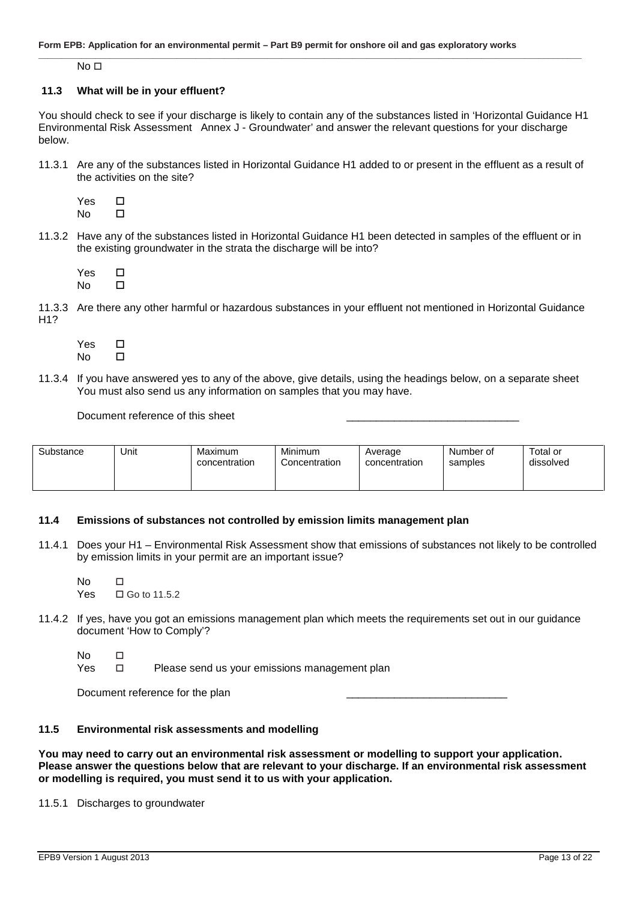$No<sub>D</sub>$ 

#### **11.3 What will be in your effluent?**

You should check to see if your discharge is likely to contain any of the substances listed in 'Horizontal Guidance H1 Environmental Risk Assessment Annex J - Groundwater' and answer the relevant questions for your discharge below.

**\_\_\_\_\_\_\_\_\_\_\_\_\_\_\_\_\_\_\_\_\_\_\_\_\_\_\_\_\_\_\_\_\_\_\_\_\_\_\_\_\_\_\_\_\_\_\_\_\_\_\_\_\_\_\_\_\_\_\_\_\_\_\_\_\_\_\_\_\_\_\_\_\_\_\_\_\_\_\_\_\_\_\_\_\_\_\_\_\_\_\_\_\_\_\_\_\_\_\_\_\_\_\_\_\_\_\_\_\_\_\_\_\_\_**

11.3.1 Are any of the substances listed in Horizontal Guidance H1 added to or present in the effluent as a result of the activities on the site?

 $Y$ es  $\Pi$ <br>No  $\Pi$ No  $\Box$ 

11.3.2 Have any of the substances listed in Horizontal Guidance H1 been detected in samples of the effluent or in the existing groundwater in the strata the discharge will be into?

Yes  $\Box$ No  $\Box$ 

11.3.3 Are there any other harmful or hazardous substances in your effluent not mentioned in Horizontal Guidance H1?

 $Y$ es  $\Pi$ No  $\Box$ 

11.3.4 If you have answered yes to any of the above, give details, using the headings below, on a separate sheet You must also send us any information on samples that you may have.

Document reference of this sheet

| Substance | Unit | Maximum<br>concentration | Minimum<br>Concentration | Average<br>concentration | Number of<br>samples | Total or<br>dissolved |
|-----------|------|--------------------------|--------------------------|--------------------------|----------------------|-----------------------|
|-----------|------|--------------------------|--------------------------|--------------------------|----------------------|-----------------------|

#### **11.4 Emissions of substances not controlled by emission limits management plan**

11.4.1 Does your H1 – Environmental Risk Assessment show that emissions of substances not likely to be controlled by emission limits in your permit are an important issue?

No  $\Box$  $Yes \square Go to 11.5.2$ 

11.4.2 If yes, have you got an emissions management plan which meets the requirements set out in our guidance document 'How to Comply'?

No distribution and the set of the set of the set of the set of the set of the set of the set of the set of the set of the set of the set of the set of the set of the set of the set of the set of the set of the set of the

Yes  $\square$  Please send us your emissions management plan

Document reference for the plan

#### **11.5 Environmental risk assessments and modelling**

**You may need to carry out an environmental risk assessment or modelling to support your application. Please answer the questions below that are relevant to your discharge. If an environmental risk assessment or modelling is required, you must send it to us with your application.**

11.5.1 Discharges to groundwater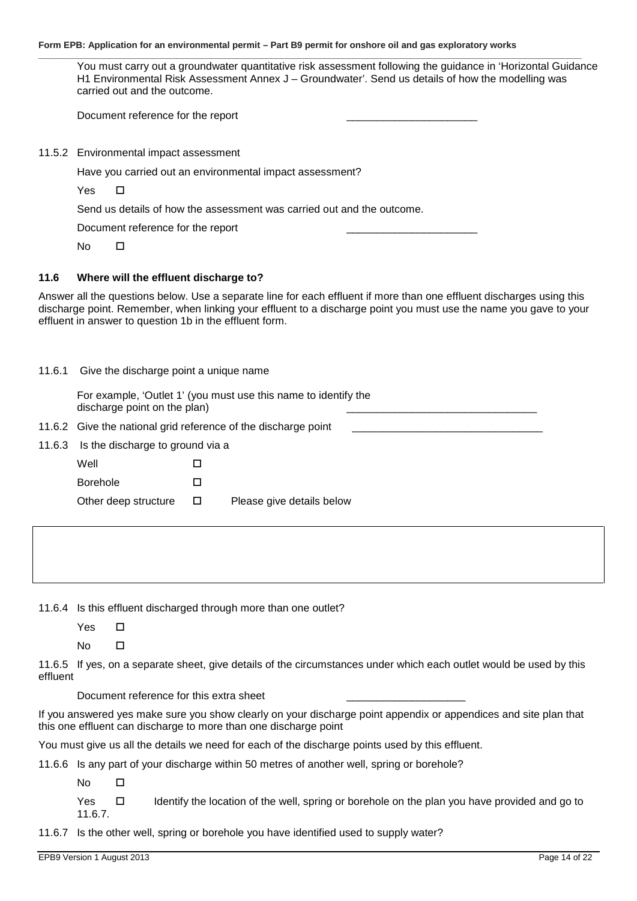|        | You must carry out a groundwater quantitative risk assessment following the guidance in 'Horizontal Guidance<br>H1 Environmental Risk Assessment Annex J - Groundwater'. Send us details of how the modelling was<br>carried out and the outcome.                                                     |
|--------|-------------------------------------------------------------------------------------------------------------------------------------------------------------------------------------------------------------------------------------------------------------------------------------------------------|
|        | Document reference for the report                                                                                                                                                                                                                                                                     |
|        | 11.5.2 Environmental impact assessment                                                                                                                                                                                                                                                                |
|        | Have you carried out an environmental impact assessment?                                                                                                                                                                                                                                              |
|        | Yes<br>□                                                                                                                                                                                                                                                                                              |
|        | Send us details of how the assessment was carried out and the outcome.                                                                                                                                                                                                                                |
|        | Document reference for the report                                                                                                                                                                                                                                                                     |
|        | No<br>□                                                                                                                                                                                                                                                                                               |
| 11.6   | Where will the effluent discharge to?                                                                                                                                                                                                                                                                 |
|        | Answer all the questions below. Use a separate line for each effluent if more than one effluent discharges using this<br>discharge point. Remember, when linking your effluent to a discharge point you must use the name you gave to your<br>effluent in answer to question 1b in the effluent form. |
|        | 11.6.1 Give the discharge point a unique name                                                                                                                                                                                                                                                         |
|        | For example, 'Outlet 1' (you must use this name to identify the<br>discharge point on the plan)                                                                                                                                                                                                       |
|        | 11.6.2 Give the national grid reference of the discharge point                                                                                                                                                                                                                                        |
| 11.6.3 | Is the discharge to ground via a                                                                                                                                                                                                                                                                      |

Other deep structure  $\Box$  Please give details below

Well **D** 

Borehole **D** 

11.6.4 Is this effluent discharged through more than one outlet?

Yes  $\square$ 

No  $\Box$ 

11.6.5 If yes, on a separate sheet, give details of the circumstances under which each outlet would be used by this effluent

Document reference for this extra sheet

If you answered yes make sure you show clearly on your discharge point appendix or appendices and site plan that this one effluent can discharge to more than one discharge point

You must give us all the details we need for each of the discharge points used by this effluent.

11.6.6 Is any part of your discharge within 50 metres of another well, spring or borehole?

No  $\Box$ 

Yes  $\Box$  Identify the location of the well, spring or borehole on the plan you have provided and go to 11.6.7.

11.6.7 Is the other well, spring or borehole you have identified used to supply water?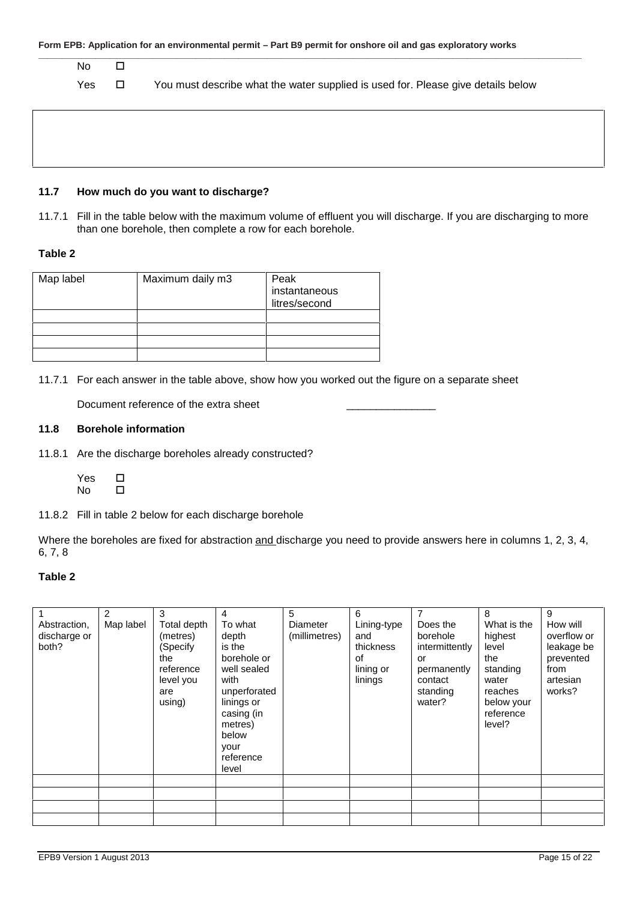| No  | $\Box$ |                                                                                  |
|-----|--------|----------------------------------------------------------------------------------|
| Yes | □      | You must describe what the water supplied is used for. Please give details below |
|     |        |                                                                                  |
|     |        |                                                                                  |
|     |        |                                                                                  |
|     |        |                                                                                  |

#### **11.7 How much do you want to discharge?**

11.7.1 Fill in the table below with the maximum volume of effluent you will discharge. If you are discharging to more than one borehole, then complete a row for each borehole.

#### **Table 2**

| Map label | Maximum daily m3 | Peak<br>instantaneous<br>litres/second |
|-----------|------------------|----------------------------------------|
|           |                  |                                        |
|           |                  |                                        |
|           |                  |                                        |
|           |                  |                                        |

11.7.1 For each answer in the table above, show how you worked out the figure on a separate sheet

Document reference of the extra sheet \_\_\_\_\_\_\_\_\_\_\_\_\_\_\_

#### **11.8 Borehole information**

11.8.1 Are the discharge boreholes already constructed?

 $Y$ es  $\Box$ <br>No  $\Pi$ No  $\Box$ 

11.8.2 Fill in table 2 below for each discharge borehole

Where the boreholes are fixed for abstraction and discharge you need to provide answers here in columns 1, 2, 3, 4, 6, 7, 8

#### **Table 2**

| Abstraction,<br>discharge or<br>both? | 2<br>Map label | 3<br>Total depth<br>(metres)<br>(Specify<br>the<br>reference<br>level you<br>are<br>using) | 4<br>To what<br>depth<br>is the<br>borehole or<br>well sealed<br>with<br>unperforated<br>linings or<br>casing (in<br>metres)<br>below<br>your<br>reference<br>level | 5<br>Diameter<br>(millimetres) | 6<br>Lining-type<br>and<br>thickness<br>0f<br>lining or<br>linings | 7<br>Does the<br>borehole<br>intermittently<br>or<br>permanently<br>contact<br>standing<br>water? | 8<br>What is the<br>highest<br>level<br>the<br>standing<br>water<br>reaches<br>below your<br>reference<br>level? | 9<br>How will<br>overflow or<br>leakage be<br>prevented<br>from<br>artesian<br>works? |
|---------------------------------------|----------------|--------------------------------------------------------------------------------------------|---------------------------------------------------------------------------------------------------------------------------------------------------------------------|--------------------------------|--------------------------------------------------------------------|---------------------------------------------------------------------------------------------------|------------------------------------------------------------------------------------------------------------------|---------------------------------------------------------------------------------------|
|                                       |                |                                                                                            |                                                                                                                                                                     |                                |                                                                    |                                                                                                   |                                                                                                                  |                                                                                       |
|                                       |                |                                                                                            |                                                                                                                                                                     |                                |                                                                    |                                                                                                   |                                                                                                                  |                                                                                       |
|                                       |                |                                                                                            |                                                                                                                                                                     |                                |                                                                    |                                                                                                   |                                                                                                                  |                                                                                       |
|                                       |                |                                                                                            |                                                                                                                                                                     |                                |                                                                    |                                                                                                   |                                                                                                                  |                                                                                       |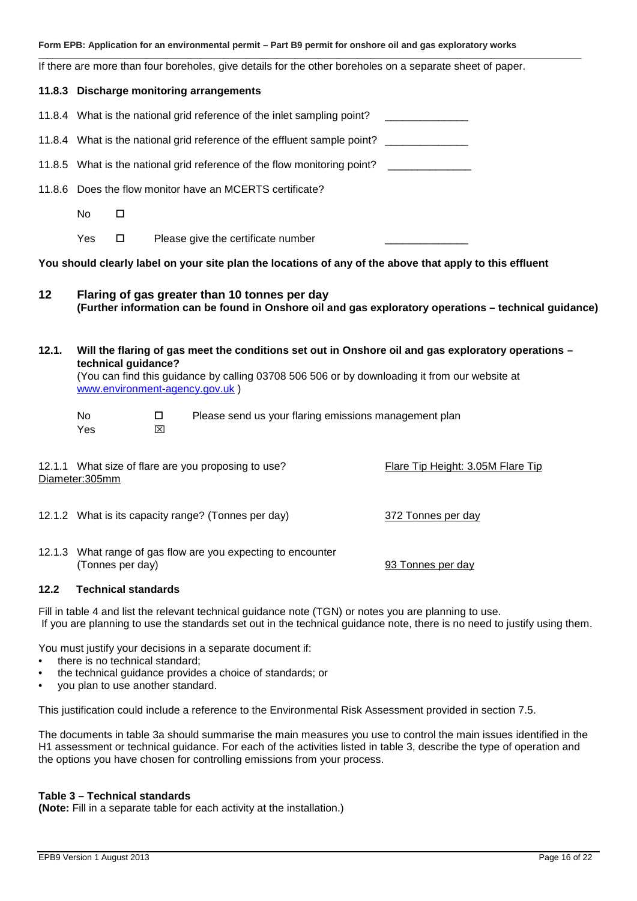|  |  | Form EPB: Application for an environmental permit – Part B9 permit for onshore oil and gas exploratory works |
|--|--|--------------------------------------------------------------------------------------------------------------|
|--|--|--------------------------------------------------------------------------------------------------------------|

**\_\_\_\_\_\_\_\_\_\_\_\_\_\_\_\_\_\_\_\_\_\_\_\_\_\_\_\_\_\_\_\_\_\_\_\_\_\_\_\_\_\_\_\_\_\_\_\_\_\_\_\_\_\_\_\_\_\_\_\_\_\_\_\_\_\_\_\_\_\_\_\_\_\_\_\_\_\_\_\_\_\_\_\_\_\_\_\_\_\_\_\_\_\_\_\_\_\_\_\_\_\_\_\_\_\_\_\_\_\_\_\_\_\_** If there are more than four boreholes, give details for the other boreholes on a separate sheet of paper.

## **11.8.3 Discharge monitoring arrangements** 11.8.4 What is the national grid reference of the inlet sampling point? 11.8.4 What is the national grid reference of the effluent sample point? 11.8.5 What is the national grid reference of the flow monitoring point? 11.8.6 Does the flow monitor have an MCERTS certificate? No  $\Box$ Yes  $\Box$  Please give the certificate number **You should clearly label on your site plan the locations of any of the above that apply to this effluent 12 Flaring of gas greater than 10 tonnes per day (Further information can be found in Onshore oil and gas exploratory operations – technical guidance) 12.1. Will the flaring of gas meet the conditions set out in Onshore oil and gas exploratory operations – technical guidance?** (You can find this guidance by calling 03708 506 506 or by downloading it from our website at www.environment-agency.gov.uk ) No  $\square$  Please send us your flaring emissions management plan **Yes EXI** 12.1.1 What size of flare are you proposing to use? Flare Tip Height: 3.05M Flare Tip Diameter:305mm 12.1.2 What is its capacity range? (Tonnes per day) 372 Tonnes per day 12.1.3 What range of gas flow are you expecting to encounter (Tonnes per day) 93 Tonnes per day **12.2 Technical standards**

Fill in table 4 and list the relevant technical guidance note (TGN) or notes you are planning to use. If you are planning to use the standards set out in the technical guidance note, there is no need to justify using them.

You must justify your decisions in a separate document if:

- there is no technical standard:
- the technical guidance provides a choice of standards; or
- you plan to use another standard.

This justification could include a reference to the Environmental Risk Assessment provided in section 7.5.

The documents in table 3a should summarise the main measures you use to control the main issues identified in the H1 assessment or technical guidance. For each of the activities listed in table 3, describe the type of operation and the options you have chosen for controlling emissions from your process.

#### **Table 3 – Technical standards**

**(Note:** Fill in a separate table for each activity at the installation.)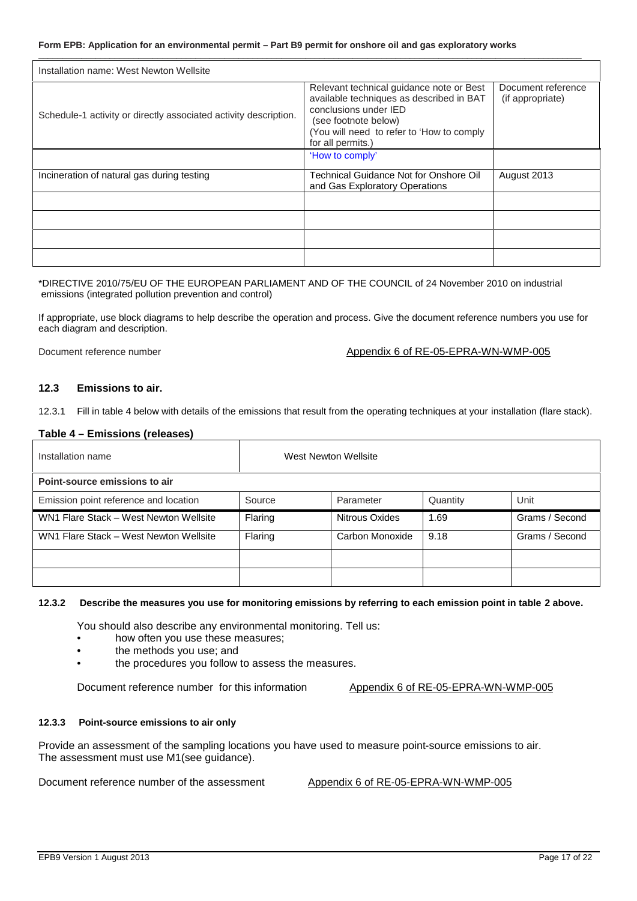| Installation name: West Newton Wellsite                          |                                                                                                                                                                                                         |                                        |  |  |  |  |
|------------------------------------------------------------------|---------------------------------------------------------------------------------------------------------------------------------------------------------------------------------------------------------|----------------------------------------|--|--|--|--|
| Schedule-1 activity or directly associated activity description. | Relevant technical guidance note or Best<br>available techniques as described in BAT<br>conclusions under IED<br>(see footnote below)<br>(You will need to refer to 'How to comply<br>for all permits.) | Document reference<br>(if appropriate) |  |  |  |  |
|                                                                  | 'How to comply'                                                                                                                                                                                         |                                        |  |  |  |  |
| Incineration of natural gas during testing                       | Technical Guidance Not for Onshore Oil<br>and Gas Exploratory Operations                                                                                                                                | August 2013                            |  |  |  |  |
|                                                                  |                                                                                                                                                                                                         |                                        |  |  |  |  |
|                                                                  |                                                                                                                                                                                                         |                                        |  |  |  |  |
|                                                                  |                                                                                                                                                                                                         |                                        |  |  |  |  |
|                                                                  |                                                                                                                                                                                                         |                                        |  |  |  |  |

**\_\_\_\_\_\_\_\_\_\_\_\_\_\_\_\_\_\_\_\_\_\_\_\_\_\_\_\_\_\_\_\_\_\_\_\_\_\_\_\_\_\_\_\_\_\_\_\_\_\_\_\_\_\_\_\_\_\_\_\_\_\_\_\_\_\_\_\_\_\_\_\_\_\_\_\_\_\_\_\_\_\_\_\_\_\_\_\_\_\_\_\_\_\_\_\_\_\_\_\_\_\_\_\_\_\_\_\_\_\_\_\_\_\_**

#### \*DIRECTIVE 2010/75/EU OF THE EUROPEAN PARLIAMENT AND OF THE COUNCIL of 24 November 2010 on industrial emissions (integrated pollution prevention and control)

If appropriate, use block diagrams to help describe the operation and process. Give the document reference numbers you use for each diagram and description.

#### Document reference number  $\blacksquare$  Appendix 6 of RE-05-EPRA-WN-WMP-005

#### **12.3 Emissions to air.**

12.3.1 Fill in table 4 below with details of the emissions that result from the operating techniques at your installation (flare stack).

#### **Table 4 – Emissions (releases)**

| Installation name                      |         | West Newton Wellsite |          |                |
|----------------------------------------|---------|----------------------|----------|----------------|
| Point-source emissions to air          |         |                      |          |                |
| Emission point reference and location  | Source  | Parameter            | Quantity | Unit           |
| WN1 Flare Stack - West Newton Wellsite | Flaring | Nitrous Oxides       | 1.69     | Grams / Second |
| WN1 Flare Stack - West Newton Wellsite | Flaring | Carbon Monoxide      | 9.18     | Grams / Second |
|                                        |         |                      |          |                |
|                                        |         |                      |          |                |

#### **12.3.2 Describe the measures you use for monitoring emissions by referring to each emission point in table 2 above.**

You should also describe any environmental monitoring. Tell us:

- how often you use these measures;
- the methods you use; and
- the procedures you follow to assess the measures.

Document reference number for this information Appendix 6 of RE-05-EPRA-WN-WMP-005

#### **12.3.3 Point-source emissions to air only**

Provide an assessment of the sampling locations you have used to measure point-source emissions to air. The assessment must use M1(see guidance).

Document reference number of the assessment Appendix 6 of RE-05-EPRA-WN-WMP-005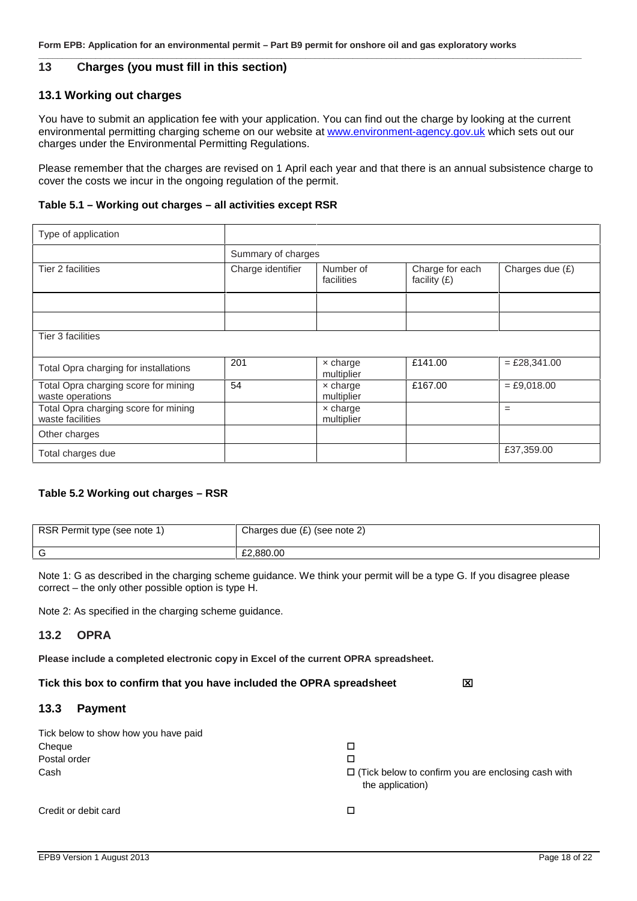#### **13 Charges (you must fill in this section)**

#### **13.1 Working out charges**

You have to submit an application fee with your application. You can find out the charge by looking at the current environmental permitting charging scheme on our website at www.environment-agency.gov.uk which sets out our charges under the Environmental Permitting Regulations.

Please remember that the charges are revised on 1 April each year and that there is an annual subsistence charge to cover the costs we incur in the ongoing regulation of the permit.

**\_\_\_\_\_\_\_\_\_\_\_\_\_\_\_\_\_\_\_\_\_\_\_\_\_\_\_\_\_\_\_\_\_\_\_\_\_\_\_\_\_\_\_\_\_\_\_\_\_\_\_\_\_\_\_\_\_\_\_\_\_\_\_\_\_\_\_\_\_\_\_\_\_\_\_\_\_\_\_\_\_\_\_\_\_\_\_\_\_\_\_\_\_\_\_\_\_\_\_\_\_\_\_\_\_\_\_\_\_\_\_\_\_\_**

#### **Table 5.1 – Working out charges – all activities except RSR**

| Type of application                                      |                    |                               |                                   |                 |  |  |  |
|----------------------------------------------------------|--------------------|-------------------------------|-----------------------------------|-----------------|--|--|--|
|                                                          | Summary of charges |                               |                                   |                 |  |  |  |
| Tier 2 facilities                                        | Charge identifier  | Number of<br>facilities       | Charge for each<br>facility $(E)$ | Charges due (£) |  |  |  |
|                                                          |                    |                               |                                   |                 |  |  |  |
|                                                          |                    |                               |                                   |                 |  |  |  |
| Tier 3 facilities                                        |                    |                               |                                   |                 |  |  |  |
| Total Opra charging for installations                    | 201                | $\times$ charge<br>multiplier | £141.00                           | $=$ £28,341.00  |  |  |  |
| Total Opra charging score for mining<br>waste operations | 54                 | $\times$ charge<br>multiplier | £167.00                           | $=$ £9,018.00   |  |  |  |
| Total Opra charging score for mining<br>waste facilities |                    | $\times$ charge<br>multiplier |                                   | $=$             |  |  |  |
| Other charges                                            |                    |                               |                                   |                 |  |  |  |
| Total charges due                                        |                    |                               |                                   | £37,359.00      |  |  |  |

#### **Table 5.2 Working out charges – RSR**

| RSR Permit type (see note 1) | Charges due $(E)$ (see note 2) |
|------------------------------|--------------------------------|
|                              | £2,880,00                      |

Note 1: G as described in the charging scheme guidance. We think your permit will be a type G. If you disagree please correct – the only other possible option is type H.

Note 2: As specified in the charging scheme guidance.

#### **13.2 OPRA**

**Please include a completed electronic copy in Excel of the current OPRA spreadsheet.**

**Tick this box to confirm that you have included the OPRA spreadsheet**

#### **13.3 Payment**

| Tick below to show how you have paid |                                                                               |
|--------------------------------------|-------------------------------------------------------------------------------|
| Cheque                               |                                                                               |
| Postal order                         |                                                                               |
| Cash                                 | $\Box$ (Tick below to confirm you are enclosing cash with<br>the application) |
| Credit or debit card                 |                                                                               |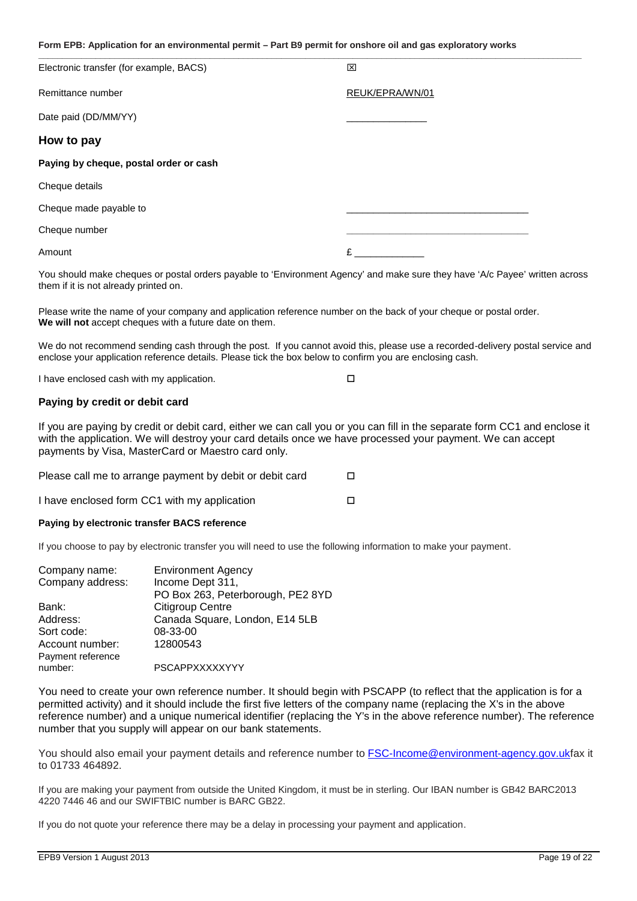| Electronic transfer (for example, BACS) | 区               |
|-----------------------------------------|-----------------|
| Remittance number                       | REUK/EPRA/WN/01 |
| Date paid (DD/MM/YY)                    |                 |
| How to pay                              |                 |
| Paying by cheque, postal order or cash  |                 |
| Cheque details                          |                 |
| Cheque made payable to                  |                 |
| Cheque number                           |                 |
| Amount                                  | £               |

You should make cheques or postal orders payable to 'Environment Agency' and make sure they have 'A/c Payee' written across them if it is not already printed on.

Please write the name of your company and application reference number on the back of your cheque or postal order. **We will not** accept cheques with a future date on them.

We do not recommend sending cash through the post. If you cannot avoid this, please use a recorded-delivery postal service and enclose your application reference details. Please tick the box below to confirm you are enclosing cash.

| I have enclosed cash with my application. |  |
|-------------------------------------------|--|
|-------------------------------------------|--|

#### **Paying by credit or debit card**

If you are paying by credit or debit card, either we can call you or you can fill in the separate form CC1 and enclose it with the application. We will destroy your card details once we have processed your payment. We can accept payments by Visa, MasterCard or Maestro card only.

| Please call me to arrange payment by debit or debit card |  |
|----------------------------------------------------------|--|
| I have enclosed form CC1 with my application             |  |

#### **Paying by electronic transfer BACS reference**

If you choose to pay by electronic transfer you will need to use the following information to make your payment.

| <b>Environment Agency</b>         |
|-----------------------------------|
| Income Dept 311,                  |
| PO Box 263, Peterborough, PE2 8YD |
| Citigroup Centre                  |
| Canada Square, London, E14 5LB    |
| 08-33-00                          |
| 12800543                          |
|                                   |
| PSCAPPXXXXXYYY                    |
|                                   |

You need to create your own reference number. It should begin with PSCAPP (to reflect that the application is for a permitted activity) and it should include the first five letters of the company name (replacing the X's in the above reference number) and a unique numerical identifier (replacing the Y's in the above reference number). The reference number that you supply will appear on our bank statements.

You should also email your payment details and reference number to FSC-Income@environment-agency.gov.ukfax it to 01733 464892.

If you are making your payment from outside the United Kingdom, it must be in sterling. Our IBAN number is GB42 BARC2013 4220 7446 46 and our SWIFTBIC number is BARC GB22.

If you do not quote your reference there may be a delay in processing your payment and application.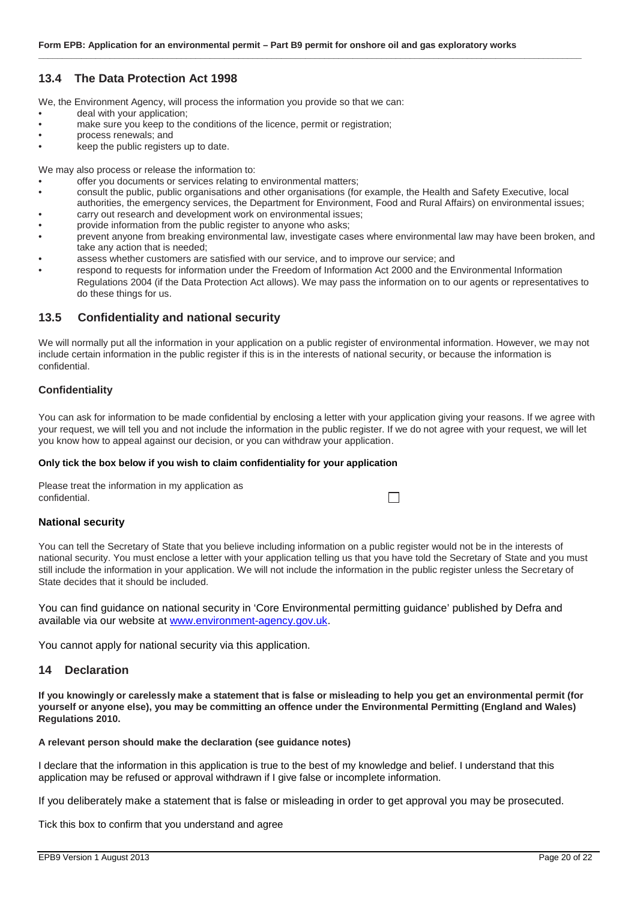#### **13.4 The Data Protection Act 1998**

We, the Environment Agency, will process the information you provide so that we can:

- deal with your application:
- make sure you keep to the conditions of the licence, permit or registration;
- process renewals; and
- keep the public registers up to date.

We may also process or release the information to:

- offer you documents or services relating to environmental matters;
- consult the public, public organisations and other organisations (for example, the Health and Safety Executive, local authorities, the emergency services, the Department for Environment, Food and Rural Affairs) on environmental issues;

**\_\_\_\_\_\_\_\_\_\_\_\_\_\_\_\_\_\_\_\_\_\_\_\_\_\_\_\_\_\_\_\_\_\_\_\_\_\_\_\_\_\_\_\_\_\_\_\_\_\_\_\_\_\_\_\_\_\_\_\_\_\_\_\_\_\_\_\_\_\_\_\_\_\_\_\_\_\_\_\_\_\_\_\_\_\_\_\_\_\_\_\_\_\_\_\_\_\_\_\_\_\_\_\_\_\_\_\_\_\_\_\_\_\_**

- carry out research and development work on environmental issues;
- provide information from the public register to anyone who asks;
- prevent anyone from breaking environmental law, investigate cases where environmental law may have been broken, and take any action that is needed;
- assess whether customers are satisfied with our service, and to improve our service; and
- respond to requests for information under the Freedom of Information Act 2000 and the Environmental Information Regulations 2004 (if the Data Protection Act allows). We may pass the information on to our agents or representatives to do these things for us.

#### **13.5 Confidentiality and national security**

We will normally put all the information in your application on a public register of environmental information. However, we may not include certain information in the public register if this is in the interests of national security, or because the information is confidential.

#### **Confidentiality**

You can ask for information to be made confidential by enclosing a letter with your application giving your reasons. If we agree with your request, we will tell you and not include the information in the public register. If we do not agree with your request, we will let you know how to appeal against our decision, or you can withdraw your application.

 $\Box$ 

#### **Only tick the box below if you wish to claim confidentiality for your application**

Please treat the information in my application as confidential.

#### **National security**

You can tell the Secretary of State that you believe including information on a public register would not be in the interests of national security. You must enclose a letter with your application telling us that you have told the Secretary of State and you must still include the information in your application. We will not include the information in the public register unless the Secretary of State decides that it should be included.

You can find guidance on national security in 'Core Environmental permitting guidance' published by Defra and available via our website at www.environment-agency.gov.uk.

You cannot apply for national security via this application.

#### **14 Declaration**

**If you knowingly or carelessly make a statement that is false or misleading to help you get an environmental permit (for yourself or anyone else), you may be committing an offence under the Environmental Permitting (England and Wales) Regulations 2010.**

#### **A relevant person should make the declaration (see guidance notes)**

I declare that the information in this application is true to the best of my knowledge and belief. I understand that this application may be refused or approval withdrawn if I give false or incomplete information.

If you deliberately make a statement that is false or misleading in order to get approval you may be prosecuted.

Tick this box to confirm that you understand and agree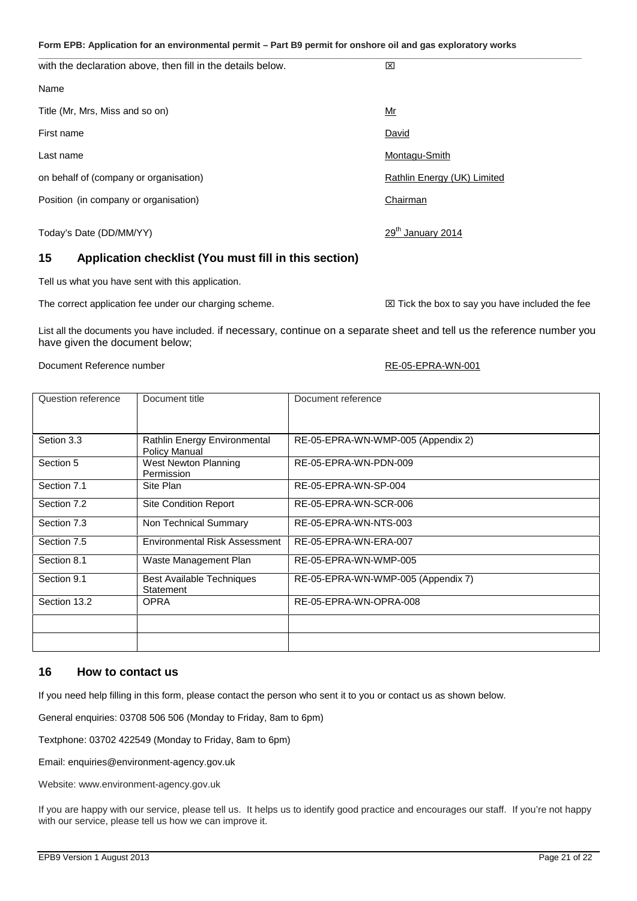#### **Form EPB: Application for an environmental permit – Part B9 permit for onshore oil and gas exploratory works \_\_\_\_\_\_\_\_\_\_\_\_\_\_\_\_\_\_\_\_\_\_\_\_\_\_\_\_\_\_\_\_\_\_\_\_\_\_\_\_\_\_\_\_\_\_\_\_\_\_\_\_\_\_\_\_\_\_\_\_\_\_\_\_\_\_\_\_\_\_\_\_\_\_\_\_\_\_\_\_\_\_\_\_\_\_\_\_\_\_\_\_\_\_\_\_\_\_\_\_\_\_\_\_\_\_\_\_\_\_\_\_\_\_**

with the declaration above, then fill in the details below. Name Title (Mr, Mrs, Miss and so on)  $\frac{Mr}{\sqrt{m}}$ First name **David** Last name Montagu-Smith on behalf of (company or organisation) and the company of the Rathlin Energy (UK) Limited Position (in company or organisation) example the contract of the Chairman Chairman 29<sup>th</sup> January 2014

#### **15 Application checklist (You must fill in this section)**

Tell us what you have sent with this application.

The correct application fee under our charging scheme.  $\boxtimes$  Tick the box to say you have included the fee

List all the documents you have included. if necessary, continue on a separate sheet and tell us the reference number you have given the document below;

Document Reference number  $RE-O5-EPRA-WN-O01$ 

Today's Date (DD/MM/YY)

## Question reference Document title Document reference

| Setion 3.3   | Rathlin Energy Environmental<br>Policy Manual | RE-05-EPRA-WN-WMP-005 (Appendix 2) |  |
|--------------|-----------------------------------------------|------------------------------------|--|
| Section 5    | West Newton Planning<br>Permission            | RE-05-EPRA-WN-PDN-009              |  |
| Section 7.1  | Site Plan                                     | RE-05-EPRA-WN-SP-004               |  |
| Section 7.2  | <b>Site Condition Report</b>                  | RE-05-EPRA-WN-SCR-006              |  |
| Section 7.3  | Non Technical Summary                         | RE-05-EPRA-WN-NTS-003              |  |
| Section 7.5  | Environmental Risk Assessment                 | RE-05-EPRA-WN-ERA-007              |  |
| Section 8.1  | Waste Management Plan                         | RE-05-EPRA-WN-WMP-005              |  |
| Section 9.1  | <b>Best Available Techniques</b><br>Statement | RE-05-EPRA-WN-WMP-005 (Appendix 7) |  |
| Section 13.2 | <b>OPRA</b>                                   | RE-05-EPRA-WN-OPRA-008             |  |
|              |                                               |                                    |  |
|              |                                               |                                    |  |

#### **16 How to contact us**

If you need help filling in this form, please contact the person who sent it to you or contact us as shown below.

General enquiries: 03708 506 506 (Monday to Friday, 8am to 6pm)

Textphone: 03702 422549 (Monday to Friday, 8am to 6pm)

Email: enquiries@environment-agency.gov.uk

Website: www.environment-agency.gov.uk

If you are happy with our service, please tell us. It helps us to identify good practice and encourages our staff. If you're not happy with our service, please tell us how we can improve it.